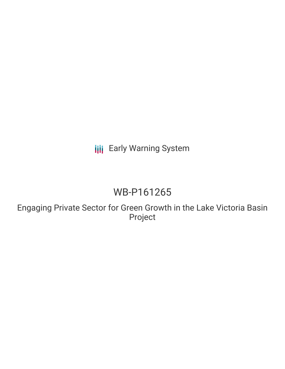## **III** Early Warning System

# WB-P161265

Engaging Private Sector for Green Growth in the Lake Victoria Basin Project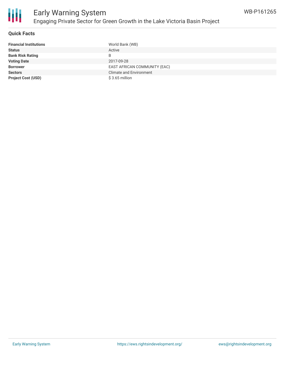

#### **Quick Facts**

| <b>Financial Institutions</b> | World Bank (WB)                |
|-------------------------------|--------------------------------|
| <b>Status</b>                 | Active                         |
| <b>Bank Risk Rating</b>       | B                              |
| <b>Voting Date</b>            | 2017-09-28                     |
| <b>Borrower</b>               | EAST AFRICAN COMMUNITY (EAC)   |
| <b>Sectors</b>                | <b>Climate and Environment</b> |
| <b>Project Cost (USD)</b>     | $$3.65$ million                |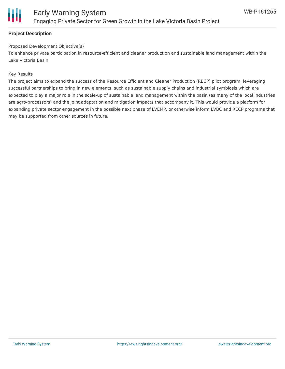

#### **Project Description**

#### Proposed Development Objective(s)

To enhance private participation in resource-efficient and cleaner production and sustainable land management within the Lake Victoria Basin

#### Key Results

The project aims to expand the success of the Resource Efficient and Cleaner Production (RECP) pilot program, leveraging successful partnerships to bring in new elements, such as sustainable supply chains and industrial symbiosis which are expected to play a major role in the scale-up of sustainable land management within the basin (as many of the local industries are agro-processors) and the joint adaptation and mitigation impacts that accompany it. This would provide a platform for expanding private sector engagement in the possible next phase of LVEMP, or otherwise inform LVBC and RECP programs that may be supported from other sources in future.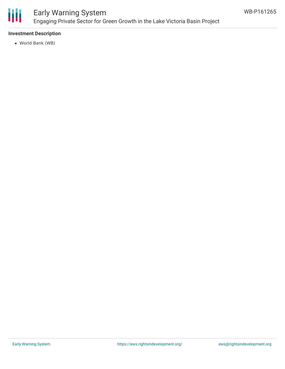

## Early Warning System Engaging Private Sector for Green Growth in the Lake Victoria Basin Project

#### **Investment Description**

World Bank (WB)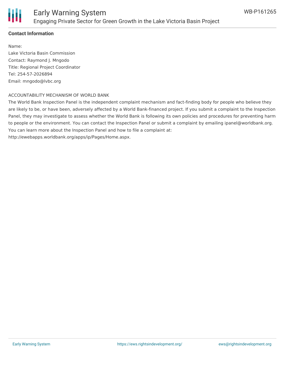

#### **Contact Information**

Name: Lake Victoria Basin Commission Contact: Raymond J. Mngodo Title: Regional Project Coordinator Tel: 254-57-2026894 Email: mngodo@lvbc.org

#### ACCOUNTABILITY MECHANISM OF WORLD BANK

The World Bank Inspection Panel is the independent complaint mechanism and fact-finding body for people who believe they are likely to be, or have been, adversely affected by a World Bank-financed project. If you submit a complaint to the Inspection Panel, they may investigate to assess whether the World Bank is following its own policies and procedures for preventing harm to people or the environment. You can contact the Inspection Panel or submit a complaint by emailing ipanel@worldbank.org. You can learn more about the Inspection Panel and how to file a complaint at: http://ewebapps.worldbank.org/apps/ip/Pages/Home.aspx.